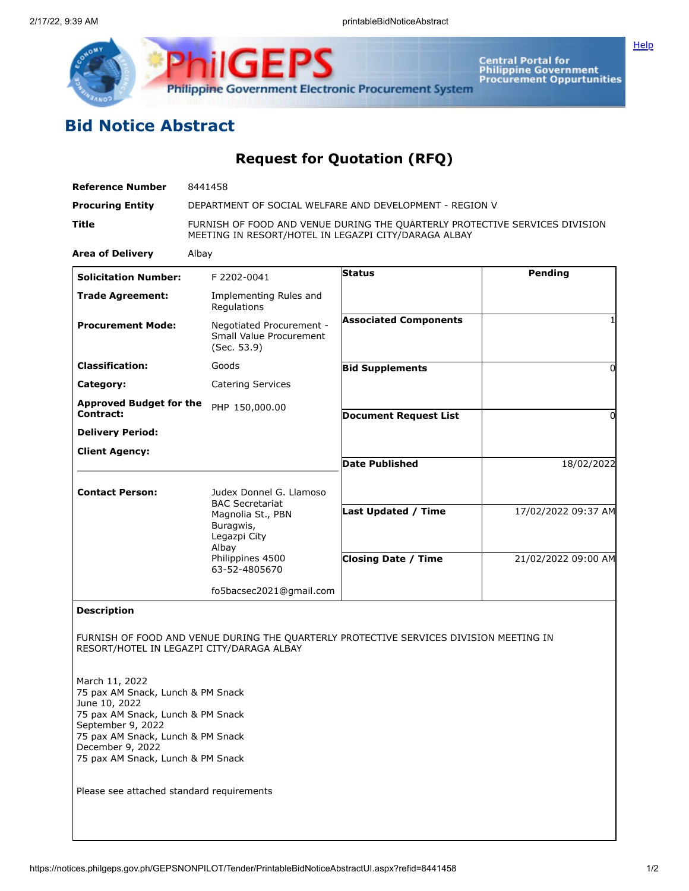

## **Bid Notice Abstract**

**Request for Quotation (RFQ)**

**Philippine Government Electronic Procurement System** 

**ilGEPS** 

| <b>Reference Number</b>                                                                                                                                                                                                      | 8441458                                                                                                                             |                                                                                        |                     |
|------------------------------------------------------------------------------------------------------------------------------------------------------------------------------------------------------------------------------|-------------------------------------------------------------------------------------------------------------------------------------|----------------------------------------------------------------------------------------|---------------------|
| <b>Procuring Entity</b>                                                                                                                                                                                                      | DEPARTMENT OF SOCIAL WELFARE AND DEVELOPMENT - REGION V                                                                             |                                                                                        |                     |
| Title                                                                                                                                                                                                                        | FURNISH OF FOOD AND VENUE DURING THE QUARTERLY PROTECTIVE SERVICES DIVISION<br>MEETING IN RESORT/HOTEL IN LEGAZPI CITY/DARAGA ALBAY |                                                                                        |                     |
| <b>Area of Delivery</b>                                                                                                                                                                                                      | Albay                                                                                                                               |                                                                                        |                     |
| <b>Solicitation Number:</b>                                                                                                                                                                                                  | F 2202-0041                                                                                                                         | <b>Status</b>                                                                          | <b>Pending</b>      |
| <b>Trade Agreement:</b>                                                                                                                                                                                                      | Implementing Rules and<br>Regulations                                                                                               |                                                                                        |                     |
| <b>Procurement Mode:</b>                                                                                                                                                                                                     | Negotiated Procurement -<br>Small Value Procurement<br>(Sec. 53.9)                                                                  | <b>Associated Components</b>                                                           |                     |
| <b>Classification:</b>                                                                                                                                                                                                       | Goods                                                                                                                               | <b>Bid Supplements</b>                                                                 | 0                   |
| Category:                                                                                                                                                                                                                    | <b>Catering Services</b>                                                                                                            |                                                                                        |                     |
| <b>Approved Budget for the</b><br><b>Contract:</b>                                                                                                                                                                           | PHP 150,000.00                                                                                                                      | <b>Document Request List</b>                                                           | 0                   |
| <b>Delivery Period:</b>                                                                                                                                                                                                      |                                                                                                                                     |                                                                                        |                     |
| <b>Client Agency:</b>                                                                                                                                                                                                        |                                                                                                                                     |                                                                                        |                     |
|                                                                                                                                                                                                                              |                                                                                                                                     | <b>Date Published</b>                                                                  | 18/02/2022          |
| <b>Contact Person:</b>                                                                                                                                                                                                       | Judex Donnel G. Llamoso                                                                                                             |                                                                                        |                     |
|                                                                                                                                                                                                                              | <b>BAC Secretariat</b><br>Magnolia St., PBN<br>Buragwis,<br>Legazpi City<br>Albay                                                   | <b>Last Updated / Time</b>                                                             | 17/02/2022 09:37 AM |
|                                                                                                                                                                                                                              | Philippines 4500<br>63-52-4805670                                                                                                   | <b>Closing Date / Time</b>                                                             | 21/02/2022 09:00 AM |
|                                                                                                                                                                                                                              | fo5bacsec2021@gmail.com                                                                                                             |                                                                                        |                     |
| <b>Description</b>                                                                                                                                                                                                           |                                                                                                                                     |                                                                                        |                     |
|                                                                                                                                                                                                                              | RESORT/HOTEL IN LEGAZPI CITY/DARAGA ALBAY                                                                                           | FURNISH OF FOOD AND VENUE DURING THE QUARTERLY PROTECTIVE SERVICES DIVISION MEETING IN |                     |
| March 11, 2022<br>75 pax AM Snack, Lunch & PM Snack<br>June 10, 2022<br>75 pax AM Snack, Lunch & PM Snack<br>September 9, 2022<br>75 pax AM Snack, Lunch & PM Snack<br>December 9, 2022<br>75 pax AM Snack, Lunch & PM Snack |                                                                                                                                     |                                                                                        |                     |